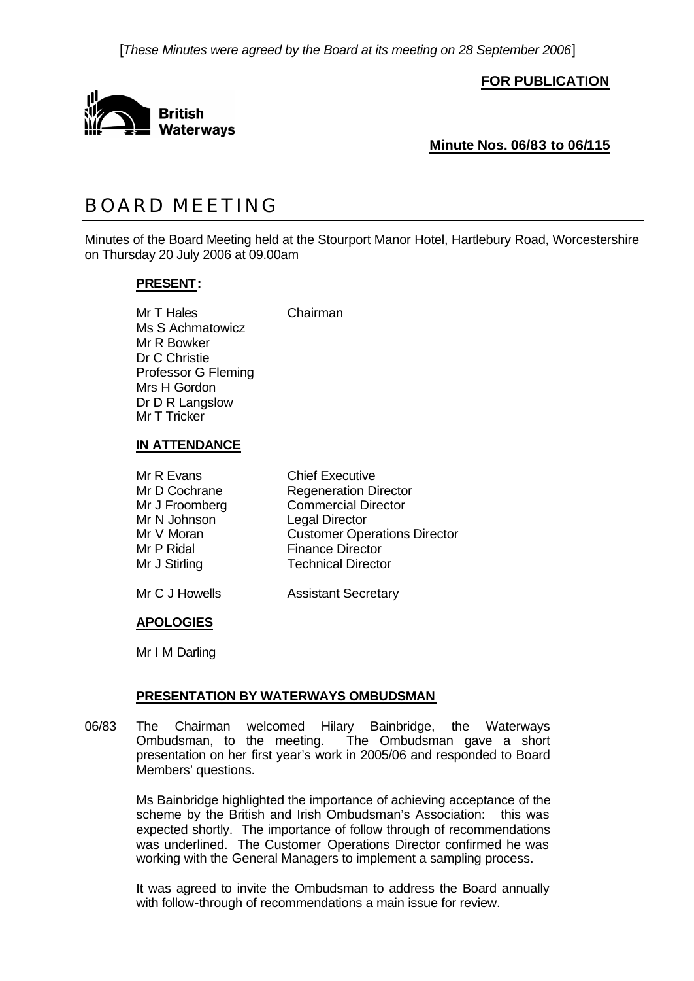[*These Minutes were agreed by the Board at its meeting on 28 September 2006*]

**FOR PUBLICATION**



**Minute Nos. 06/83 to 06/115**

# BOARD MEETING

Minutes of the Board Meeting held at the Stourport Manor Hotel, Hartlebury Road, Worcestershire on Thursday 20 July 2006 at 09.00am

# **PRESENT:**

Mr T Hales Chairman Ms S Achmatowicz Mr R Bowker Dr C Christie Professor G Fleming Mrs H Gordon Dr D R Langslow Mr T Tricker

#### **IN ATTENDANCE**

| Mr R Evans     | <b>Chief Executive</b>              |
|----------------|-------------------------------------|
| Mr D Cochrane  | <b>Regeneration Director</b>        |
| Mr J Froomberg | <b>Commercial Director</b>          |
| Mr N Johnson   | <b>Legal Director</b>               |
| Mr V Moran     | <b>Customer Operations Director</b> |
| Mr P Ridal     | <b>Finance Director</b>             |
| Mr J Stirling  | <b>Technical Director</b>           |
|                |                                     |

Mr C J Howells **Assistant Secretary** 

# **APOLOGIES**

Mr I M Darling

# **PRESENTATION BY WATERWAYS OMBUDSMAN**

06/83 The Chairman welcomed Hilary Bainbridge, the Waterways<br>Ombudsman, to the meeting. The Ombudsman gave a short The Ombudsman gave a short presentation on her first year's work in 2005/06 and responded to Board Members' questions.

> Ms Bainbridge highlighted the importance of achieving acceptance of the scheme by the British and Irish Ombudsman's Association: this was expected shortly. The importance of follow through of recommendations was underlined. The Customer Operations Director confirmed he was working with the General Managers to implement a sampling process.

> It was agreed to invite the Ombudsman to address the Board annually with follow-through of recommendations a main issue for review.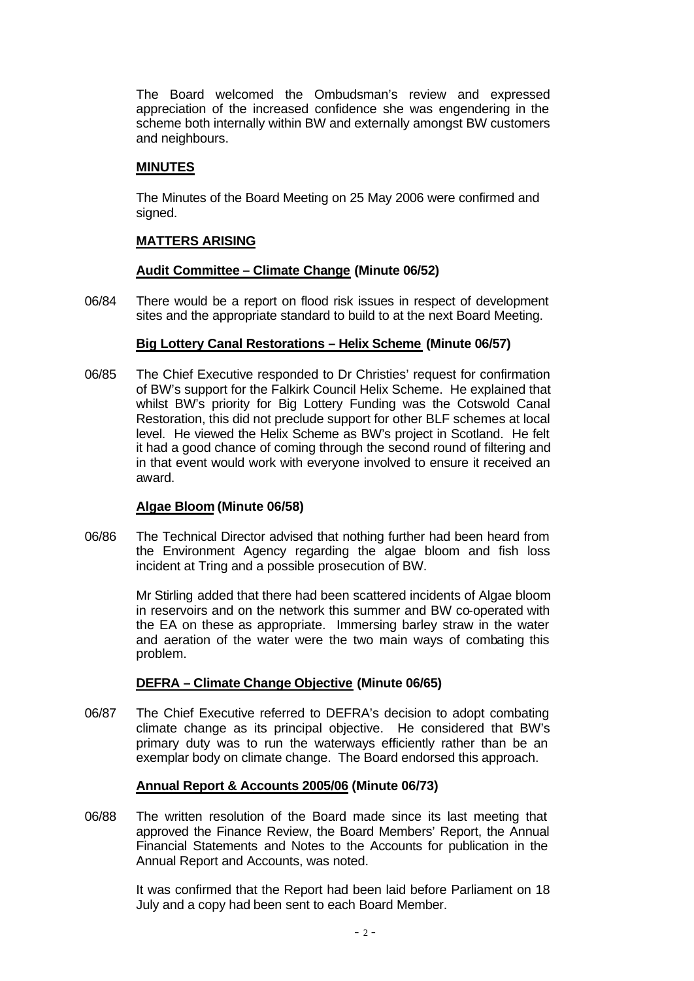The Board welcomed the Ombudsman's review and expressed appreciation of the increased confidence she was engendering in the scheme both internally within BW and externally amongst BW customers and neighbours.

# **MINUTES**

The Minutes of the Board Meeting on 25 May 2006 were confirmed and signed.

# **MATTERS ARISING**

# **Audit Committee – Climate Change (Minute 06/52)**

06/84 There would be a report on flood risk issues in respect of development sites and the appropriate standard to build to at the next Board Meeting.

# **Big Lottery Canal Restorations – Helix Scheme (Minute 06/57)**

06/85 The Chief Executive responded to Dr Christies' request for confirmation of BW's support for the Falkirk Council Helix Scheme. He explained that whilst BW's priority for Big Lottery Funding was the Cotswold Canal Restoration, this did not preclude support for other BLF schemes at local level. He viewed the Helix Scheme as BW's project in Scotland. He felt it had a good chance of coming through the second round of filtering and in that event would work with everyone involved to ensure it received an award.

# **Algae Bloom (Minute 06/58)**

06/86 The Technical Director advised that nothing further had been heard from the Environment Agency regarding the algae bloom and fish loss incident at Tring and a possible prosecution of BW.

> Mr Stirling added that there had been scattered incidents of Algae bloom in reservoirs and on the network this summer and BW co-operated with the EA on these as appropriate. Immersing barley straw in the water and aeration of the water were the two main ways of combating this problem.

# **DEFRA – Climate Change Objective (Minute 06/65)**

06/87 The Chief Executive referred to DEFRA's decision to adopt combating climate change as its principal objective. He considered that BW's primary duty was to run the waterways efficiently rather than be an exemplar body on climate change. The Board endorsed this approach.

# **Annual Report & Accounts 2005/06 (Minute 06/73)**

06/88 The written resolution of the Board made since its last meeting that approved the Finance Review, the Board Members' Report, the Annual Financial Statements and Notes to the Accounts for publication in the Annual Report and Accounts, was noted.

> It was confirmed that the Report had been laid before Parliament on 18 July and a copy had been sent to each Board Member.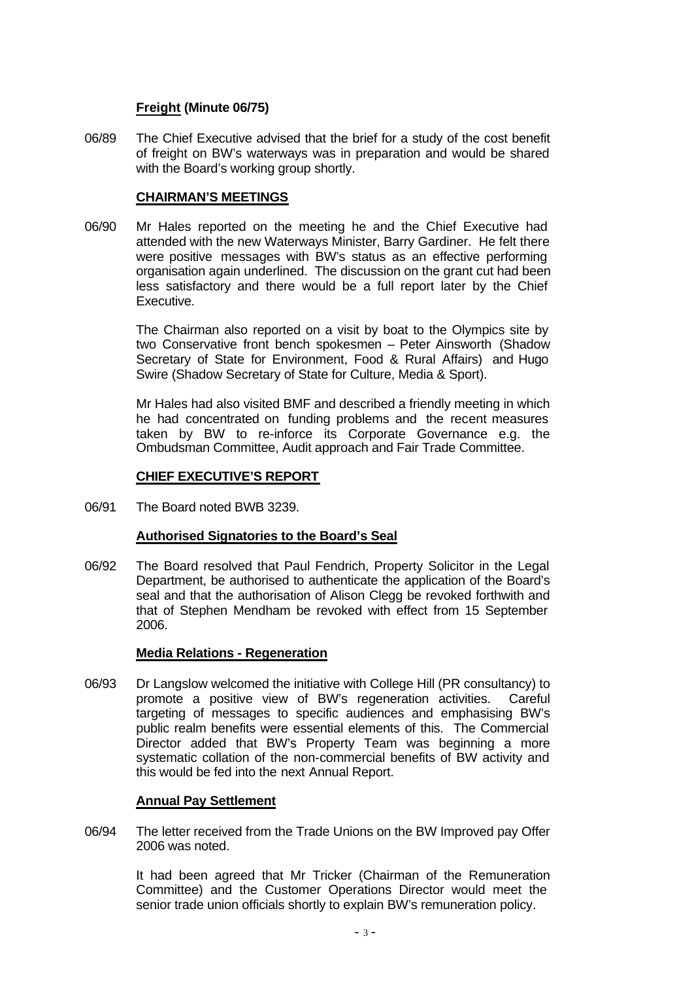# **Freight (Minute 06/75)**

06/89 The Chief Executive advised that the brief for a study of the cost benefit of freight on BW's waterways was in preparation and would be shared with the Board's working group shortly.

# **CHAIRMAN'S MEETINGS**

06/90 Mr Hales reported on the meeting he and the Chief Executive had attended with the new Waterways Minister, Barry Gardiner. He felt there were positive messages with BW's status as an effective performing organisation again underlined. The discussion on the grant cut had been less satisfactory and there would be a full report later by the Chief Executive.

> The Chairman also reported on a visit by boat to the Olympics site by two Conservative front bench spokesmen – Peter Ainsworth (Shadow Secretary of State for Environment, Food & Rural Affairs) and Hugo Swire (Shadow Secretary of State for Culture, Media & Sport).

> Mr Hales had also visited BMF and described a friendly meeting in which he had concentrated on funding problems and the recent measures taken by BW to re-inforce its Corporate Governance e.g. the Ombudsman Committee, Audit approach and Fair Trade Committee.

# **CHIEF EXECUTIVE'S REPORT**

06/91 The Board noted BWB 3239.

# **Authorised Signatories to the Board's Seal**

06/92 The Board resolved that Paul Fendrich, Property Solicitor in the Legal Department, be authorised to authenticate the application of the Board's seal and that the authorisation of Alison Clegg be revoked forthwith and that of Stephen Mendham be revoked with effect from 15 September 2006.

# **Media Relations - Regeneration**

06/93 Dr Langslow welcomed the initiative with College Hill (PR consultancy) to promote a positive view of BW's regeneration activities. Careful targeting of messages to specific audiences and emphasising BW's public realm benefits were essential elements of this. The Commercial Director added that BW's Property Team was beginning a more systematic collation of the non-commercial benefits of BW activity and this would be fed into the next Annual Report.

# **Annual Pay Settlement**

06/94 The letter received from the Trade Unions on the BW Improved pay Offer 2006 was noted.

> It had been agreed that Mr Tricker (Chairman of the Remuneration Committee) and the Customer Operations Director would meet the senior trade union officials shortly to explain BW's remuneration policy.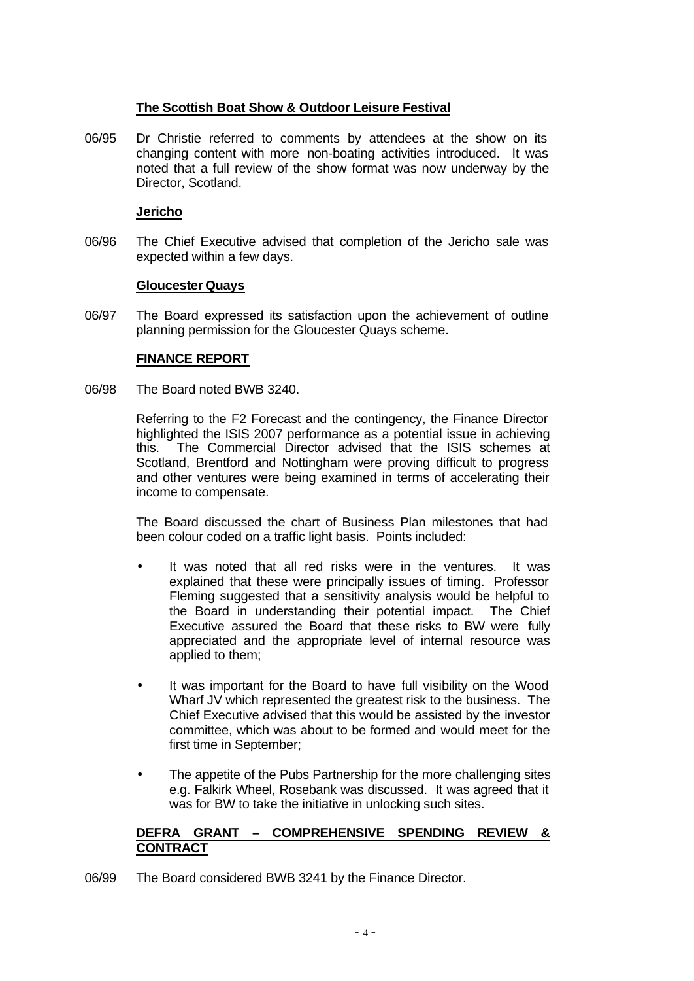# **The Scottish Boat Show & Outdoor Leisure Festival**

06/95 Dr Christie referred to comments by attendees at the show on its changing content with more non-boating activities introduced. It was noted that a full review of the show format was now underway by the Director, Scotland.

# **Jericho**

06/96 The Chief Executive advised that completion of the Jericho sale was expected within a few days.

#### **Gloucester Quays**

06/97 The Board expressed its satisfaction upon the achievement of outline planning permission for the Gloucester Quays scheme.

# **FINANCE REPORT**

06/98 The Board noted BWB 3240.

Referring to the F2 Forecast and the contingency, the Finance Director highlighted the ISIS 2007 performance as a potential issue in achieving this. The Commercial Director advised that the ISIS schemes at Scotland, Brentford and Nottingham were proving difficult to progress and other ventures were being examined in terms of accelerating their income to compensate.

The Board discussed the chart of Business Plan milestones that had been colour coded on a traffic light basis. Points included:

- It was noted that all red risks were in the ventures. It was explained that these were principally issues of timing. Professor Fleming suggested that a sensitivity analysis would be helpful to the Board in understanding their potential impact. The Chief Executive assured the Board that these risks to BW were fully appreciated and the appropriate level of internal resource was applied to them;
- It was important for the Board to have full visibility on the Wood Wharf JV which represented the greatest risk to the business. The Chief Executive advised that this would be assisted by the investor committee, which was about to be formed and would meet for the first time in September;
- The appetite of the Pubs Partnership for the more challenging sites e.g. Falkirk Wheel, Rosebank was discussed. It was agreed that it was for BW to take the initiative in unlocking such sites.

# **DEFRA GRANT – COMPREHENSIVE SPENDING REVIEW & CONTRACT**

06/99 The Board considered BWB 3241 by the Finance Director.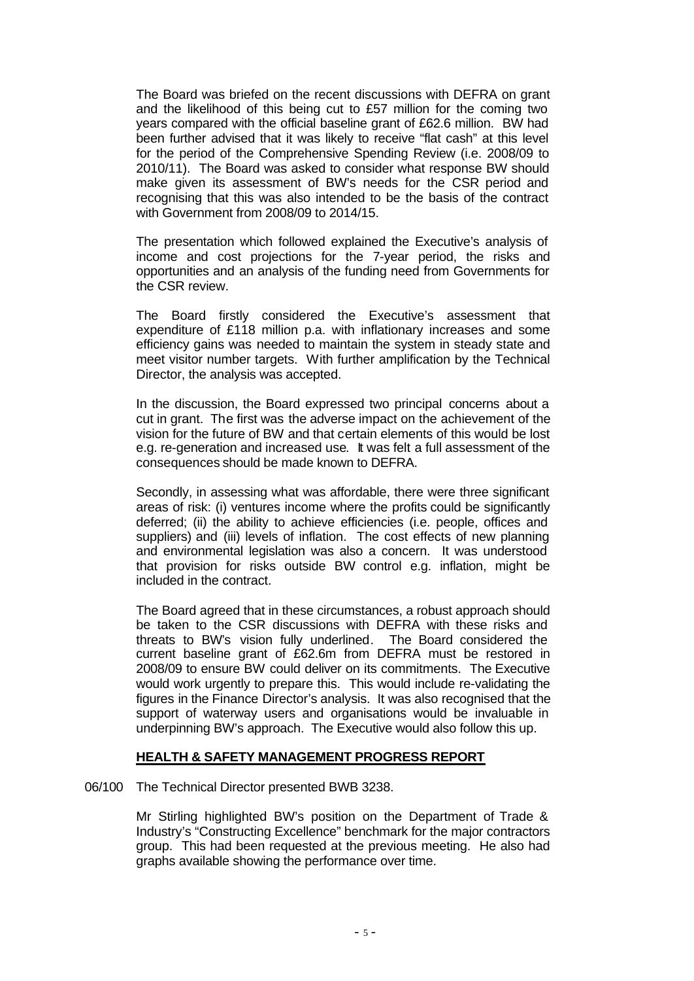The Board was briefed on the recent discussions with DEFRA on grant and the likelihood of this being cut to £57 million for the coming two years compared with the official baseline grant of £62.6 million. BW had been further advised that it was likely to receive "flat cash" at this level for the period of the Comprehensive Spending Review (i.e. 2008/09 to 2010/11). The Board was asked to consider what response BW should make given its assessment of BW's needs for the CSR period and recognising that this was also intended to be the basis of the contract with Government from 2008/09 to 2014/15.

The presentation which followed explained the Executive's analysis of income and cost projections for the 7-year period, the risks and opportunities and an analysis of the funding need from Governments for the CSR review.

The Board firstly considered the Executive's assessment that expenditure of £118 million p.a. with inflationary increases and some efficiency gains was needed to maintain the system in steady state and meet visitor number targets. With further amplification by the Technical Director, the analysis was accepted.

In the discussion, the Board expressed two principal concerns about a cut in grant. The first was the adverse impact on the achievement of the vision for the future of BW and that certain elements of this would be lost e.g. re-generation and increased use. It was felt a full assessment of the consequences should be made known to DEFRA.

Secondly, in assessing what was affordable, there were three significant areas of risk: (i) ventures income where the profits could be significantly deferred; (ii) the ability to achieve efficiencies (i.e. people, offices and suppliers) and (iii) levels of inflation. The cost effects of new planning and environmental legislation was also a concern. It was understood that provision for risks outside BW control e.g. inflation, might be included in the contract.

The Board agreed that in these circumstances, a robust approach should be taken to the CSR discussions with DEFRA with these risks and threats to BW's vision fully underlined. The Board considered the current baseline grant of £62.6m from DEFRA must be restored in 2008/09 to ensure BW could deliver on its commitments. The Executive would work urgently to prepare this. This would include re-validating the figures in the Finance Director's analysis. It was also recognised that the support of waterway users and organisations would be invaluable in underpinning BW's approach. The Executive would also follow this up.

#### **HEALTH & SAFETY MANAGEMENT PROGRESS REPORT**

06/100 The Technical Director presented BWB 3238.

Mr Stirling highlighted BW's position on the Department of Trade & Industry's "Constructing Excellence" benchmark for the major contractors group. This had been requested at the previous meeting. He also had graphs available showing the performance over time.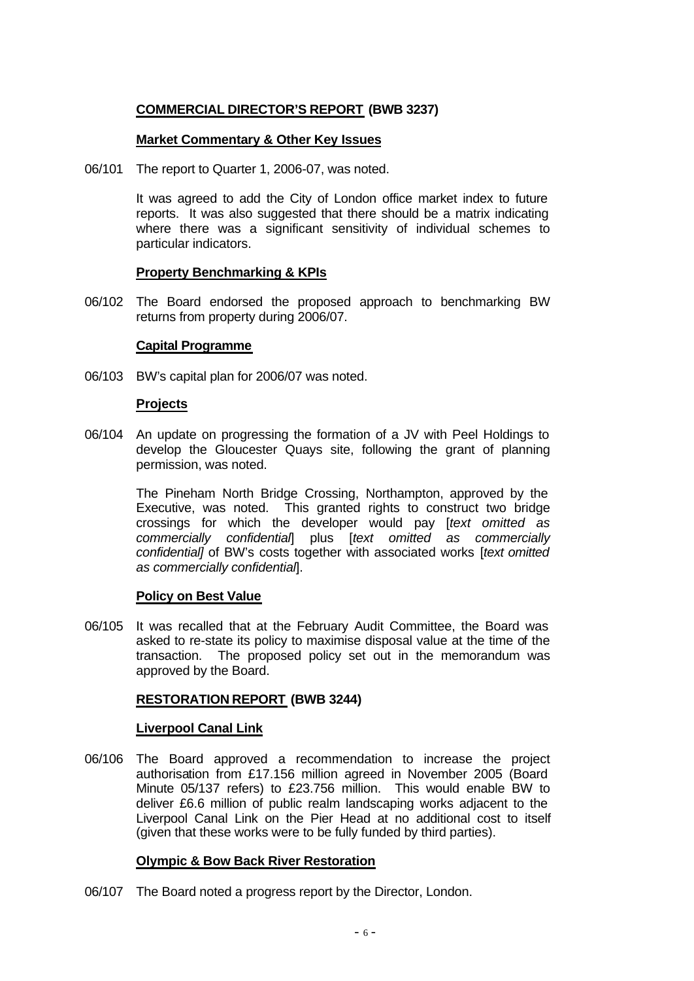# **COMMERCIAL DIRECTOR'S REPORT (BWB 3237)**

# **Market Commentary & Other Key Issues**

06/101 The report to Quarter 1, 2006-07, was noted.

It was agreed to add the City of London office market index to future reports. It was also suggested that there should be a matrix indicating where there was a significant sensitivity of individual schemes to particular indicators.

### **Property Benchmarking & KPIs**

06/102 The Board endorsed the proposed approach to benchmarking BW returns from property during 2006/07.

#### **Capital Programme**

06/103 BW's capital plan for 2006/07 was noted.

#### **Projects**

06/104 An update on progressing the formation of a JV with Peel Holdings to develop the Gloucester Quays site, following the grant of planning permission, was noted.

> The Pineham North Bridge Crossing, Northampton, approved by the Executive, was noted. This granted rights to construct two bridge crossings for which the developer would pay [*text omitted as commercially confidential*] plus [*text omitted as commercially confidential]* of BW's costs together with associated works [*text omitted as commercially confidential*].

#### **Policy on Best Value**

06/105 It was recalled that at the February Audit Committee, the Board was asked to re-state its policy to maximise disposal value at the time of the transaction. The proposed policy set out in the memorandum was approved by the Board.

#### **RESTORATION REPORT (BWB 3244)**

#### **Liverpool Canal Link**

06/106 The Board approved a recommendation to increase the project authorisation from £17.156 million agreed in November 2005 (Board Minute 05/137 refers) to £23.756 million. This would enable BW to deliver £6.6 million of public realm landscaping works adjacent to the Liverpool Canal Link on the Pier Head at no additional cost to itself (given that these works were to be fully funded by third parties).

# **Olympic & Bow Back River Restoration**

06/107 The Board noted a progress report by the Director, London.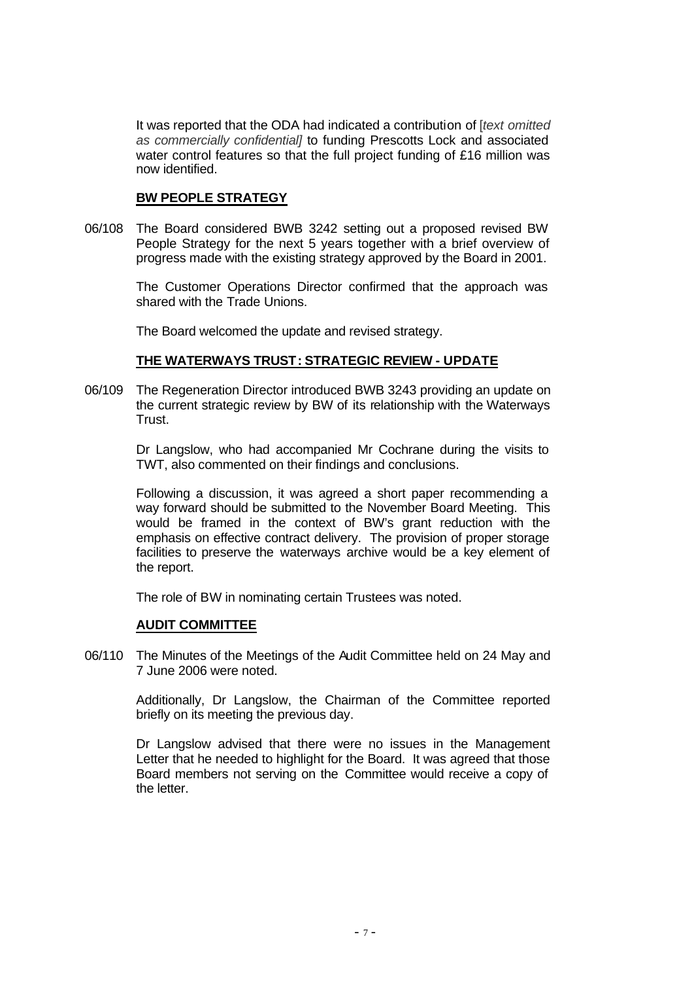It was reported that the ODA had indicated a contribution of [*text omitted as commercially confidential]* to funding Prescotts Lock and associated water control features so that the full project funding of £16 million was now identified.

# **BW PEOPLE STRATEGY**

06/108 The Board considered BWB 3242 setting out a proposed revised BW People Strategy for the next 5 years together with a brief overview of progress made with the existing strategy approved by the Board in 2001.

> The Customer Operations Director confirmed that the approach was shared with the Trade Unions.

The Board welcomed the update and revised strategy.

# **THE WATERWAYS TRUST: STRATEGIC REVIEW - UPDATE**

06/109 The Regeneration Director introduced BWB 3243 providing an update on the current strategic review by BW of its relationship with the Waterways Trust.

> Dr Langslow, who had accompanied Mr Cochrane during the visits to TWT, also commented on their findings and conclusions.

> Following a discussion, it was agreed a short paper recommending a way forward should be submitted to the November Board Meeting. This would be framed in the context of BW's grant reduction with the emphasis on effective contract delivery. The provision of proper storage facilities to preserve the waterways archive would be a key element of the report.

The role of BW in nominating certain Trustees was noted.

# **AUDIT COMMITTEE**

06/110 The Minutes of the Meetings of the Audit Committee held on 24 May and 7 June 2006 were noted.

> Additionally, Dr Langslow, the Chairman of the Committee reported briefly on its meeting the previous day.

> Dr Langslow advised that there were no issues in the Management Letter that he needed to highlight for the Board. It was agreed that those Board members not serving on the Committee would receive a copy of the letter.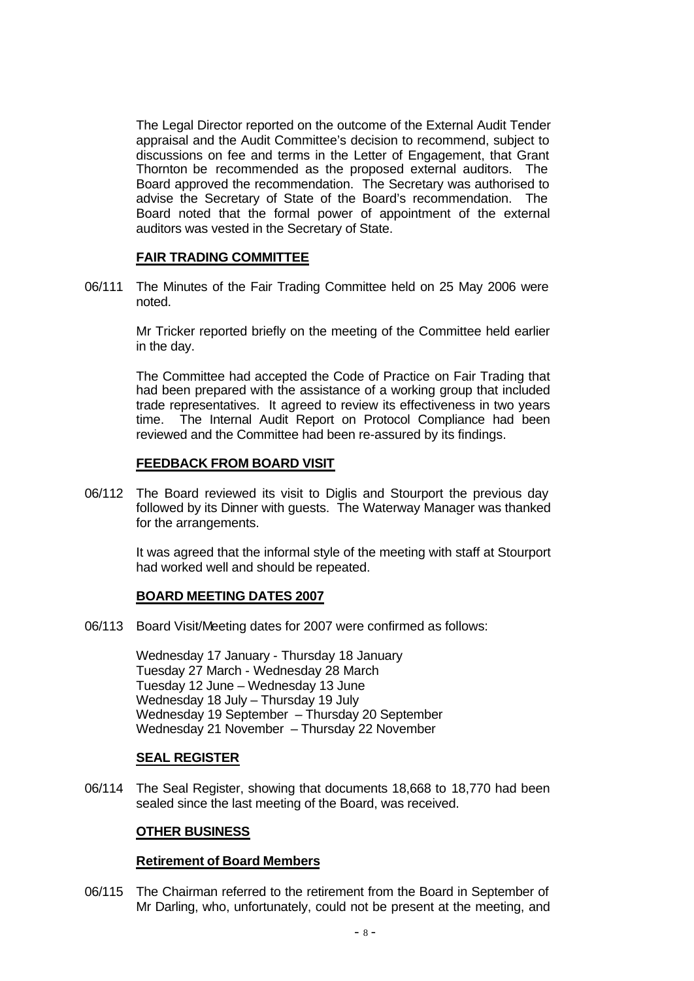The Legal Director reported on the outcome of the External Audit Tender appraisal and the Audit Committee's decision to recommend, subject to discussions on fee and terms in the Letter of Engagement, that Grant Thornton be recommended as the proposed external auditors. The Board approved the recommendation. The Secretary was authorised to advise the Secretary of State of the Board's recommendation. The Board noted that the formal power of appointment of the external auditors was vested in the Secretary of State.

#### **FAIR TRADING COMMITTEE**

06/111 The Minutes of the Fair Trading Committee held on 25 May 2006 were noted.

> Mr Tricker reported briefly on the meeting of the Committee held earlier in the day.

> The Committee had accepted the Code of Practice on Fair Trading that had been prepared with the assistance of a working group that included trade representatives. It agreed to review its effectiveness in two years time. The Internal Audit Report on Protocol Compliance had been reviewed and the Committee had been re-assured by its findings.

#### **FEEDBACK FROM BOARD VISIT**

06/112 The Board reviewed its visit to Diglis and Stourport the previous day followed by its Dinner with guests. The Waterway Manager was thanked for the arrangements.

> It was agreed that the informal style of the meeting with staff at Stourport had worked well and should be repeated.

# **BOARD MEETING DATES 2007**

06/113 Board Visit/Meeting dates for 2007 were confirmed as follows:

Wednesday 17 January - Thursday 18 January Tuesday 27 March - Wednesday 28 March Tuesday 12 June – Wednesday 13 June Wednesday 18 July – Thursday 19 July Wednesday 19 September – Thursday 20 September Wednesday 21 November – Thursday 22 November

#### **SEAL REGISTER**

06/114 The Seal Register, showing that documents 18,668 to 18,770 had been sealed since the last meeting of the Board, was received.

# **OTHER BUSINESS**

#### **Retirement of Board Members**

06/115 The Chairman referred to the retirement from the Board in September of Mr Darling, who, unfortunately, could not be present at the meeting, and